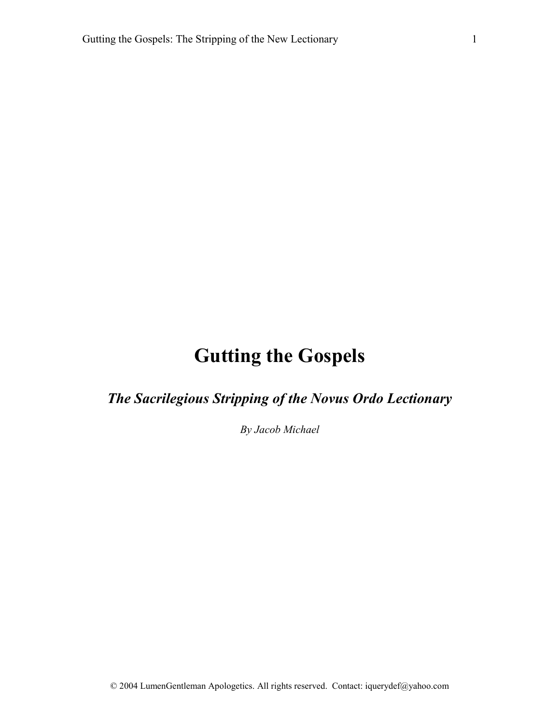# **Gutting the Gospels**

*The Sacrilegious Stripping of the Novus Ordo Lectionary*

*By Jacob Michael*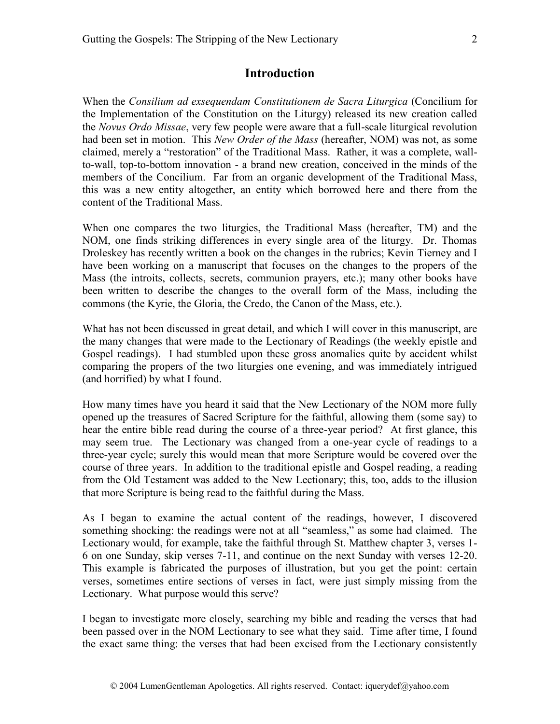When the *Consilium ad exsequendam Constitutionem de Sacra Liturgica* (Concilium for the Implementation of the Constitution on the Liturgy) released its new creation called the *Novus Ordo Missae*, very few people were aware that a full-scale liturgical revolution had been set in motion. This *New Order of the Mass* (hereafter, NOM) was not, as some claimed, merely a "restoration" of the Traditional Mass. Rather, it was a complete, wallto-wall, top-to-bottom innovation - a brand new creation, conceived in the minds of the members of the Concilium. Far from an organic development of the Traditional Mass, this was a new entity altogether, an entity which borrowed here and there from the content of the Traditional Mass.

When one compares the two liturgies, the Traditional Mass (hereafter, TM) and the NOM, one finds striking differences in every single area of the liturgy. Dr. Thomas Droleskey has recently written a book on the changes in the rubrics; Kevin Tierney and I have been working on a manuscript that focuses on the changes to the propers of the Mass (the introits, collects, secrets, communion prayers, etc.); many other books have been written to describe the changes to the overall form of the Mass, including the commons (the Kyrie, the Gloria, the Credo, the Canon of the Mass, etc.).

What has not been discussed in great detail, and which I will cover in this manuscript, are the many changes that were made to the Lectionary of Readings (the weekly epistle and Gospel readings). I had stumbled upon these gross anomalies quite by accident whilst comparing the propers of the two liturgies one evening, and was immediately intrigued (and horrified) by what I found.

How many times have you heard it said that the New Lectionary of the NOM more fully opened up the treasures of Sacred Scripture for the faithful, allowing them (some say) to hear the entire bible read during the course of a three-year period? At first glance, this may seem true. The Lectionary was changed from a one-year cycle of readings to a three-year cycle; surely this would mean that more Scripture would be covered over the course of three years. In addition to the traditional epistle and Gospel reading, a reading from the Old Testament was added to the New Lectionary; this, too, adds to the illusion that more Scripture is being read to the faithful during the Mass.

As I began to examine the actual content of the readings, however, I discovered something shocking: the readings were not at all "seamless," as some had claimed. The Lectionary would, for example, take the faithful through St. Matthew chapter 3, verses 1- 6 on one Sunday, skip verses 7-11, and continue on the next Sunday with verses 12-20. This example is fabricated the purposes of illustration, but you get the point: certain verses, sometimes entire sections of verses in fact, were just simply missing from the Lectionary. What purpose would this serve?

I began to investigate more closely, searching my bible and reading the verses that had been passed over in the NOM Lectionary to see what they said. Time after time, I found the exact same thing: the verses that had been excised from the Lectionary consistently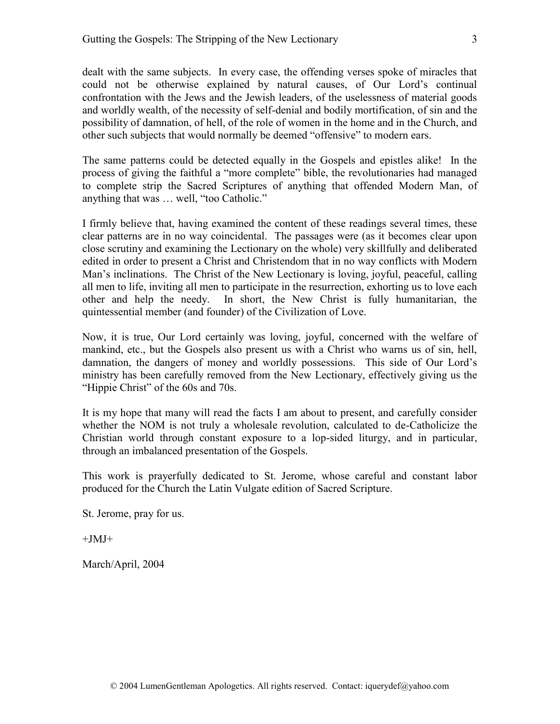dealt with the same subjects. In every case, the offending verses spoke of miracles that could not be otherwise explained by natural causes, of Our Lord's continual confrontation with the Jews and the Jewish leaders, of the uselessness of material goods and worldly wealth, of the necessity of self-denial and bodily mortification, of sin and the possibility of damnation, of hell, of the role of women in the home and in the Church, and other such subjects that would normally be deemed "offensive" to modern ears.

The same patterns could be detected equally in the Gospels and epistles alike! In the process of giving the faithful a "more complete" bible, the revolutionaries had managed to complete strip the Sacred Scriptures of anything that offended Modern Man, of anything that was … well, "too Catholic."

I firmly believe that, having examined the content of these readings several times, these clear patterns are in no way coincidental. The passages were (as it becomes clear upon close scrutiny and examining the Lectionary on the whole) very skillfully and deliberated edited in order to present a Christ and Christendom that in no way conflicts with Modern Man's inclinations. The Christ of the New Lectionary is loving, joyful, peaceful, calling all men to life, inviting all men to participate in the resurrection, exhorting us to love each other and help the needy. In short, the New Christ is fully humanitarian, the quintessential member (and founder) of the Civilization of Love.

Now, it is true, Our Lord certainly was loving, joyful, concerned with the welfare of mankind, etc., but the Gospels also present us with a Christ who warns us of sin, hell, damnation, the dangers of money and worldly possessions. This side of Our Lord's ministry has been carefully removed from the New Lectionary, effectively giving us the "Hippie Christ" of the 60s and 70s.

It is my hope that many will read the facts I am about to present, and carefully consider whether the NOM is not truly a wholesale revolution, calculated to de-Catholicize the Christian world through constant exposure to a lop-sided liturgy, and in particular, through an imbalanced presentation of the Gospels.

This work is prayerfully dedicated to St. Jerome, whose careful and constant labor produced for the Church the Latin Vulgate edition of Sacred Scripture.

St. Jerome, pray for us.

 $+$ JMJ $+$ 

March/April, 2004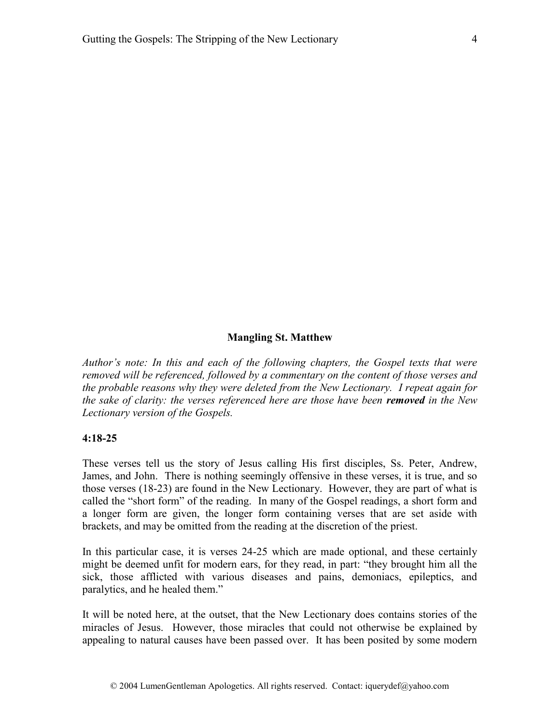#### **Mangling St. Matthew**

*Author's note: In this and each of the following chapters, the Gospel texts that were removed will be referenced, followed by a commentary on the content of those verses and the probable reasons why they were deleted from the New Lectionary. I repeat again for the sake of clarity: the verses referenced here are those have been removed in the New Lectionary version of the Gospels.*

#### **4:18-25**

These verses tell us the story of Jesus calling His first disciples, Ss. Peter, Andrew, James, and John. There is nothing seemingly offensive in these verses, it is true, and so those verses (18-23) are found in the New Lectionary. However, they are part of what is called the "short form" of the reading. In many of the Gospel readings, a short form and a longer form are given, the longer form containing verses that are set aside with brackets, and may be omitted from the reading at the discretion of the priest.

In this particular case, it is verses 24-25 which are made optional, and these certainly might be deemed unfit for modern ears, for they read, in part: "they brought him all the sick, those afflicted with various diseases and pains, demoniacs, epileptics, and paralytics, and he healed them."

It will be noted here, at the outset, that the New Lectionary does contains stories of the miracles of Jesus. However, those miracles that could not otherwise be explained by appealing to natural causes have been passed over. It has been posited by some modern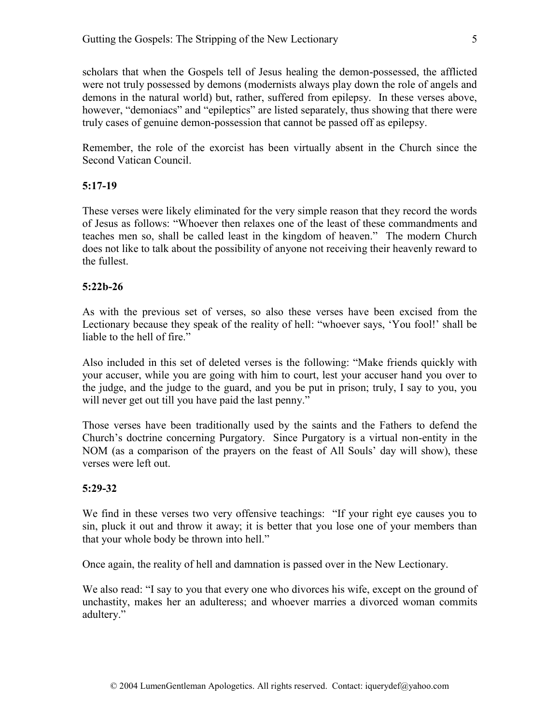scholars that when the Gospels tell of Jesus healing the demon-possessed, the afflicted were not truly possessed by demons (modernists always play down the role of angels and demons in the natural world) but, rather, suffered from epilepsy. In these verses above, however, "demoniacs" and "epileptics" are listed separately, thus showing that there were truly cases of genuine demon-possession that cannot be passed off as epilepsy.

Remember, the role of the exorcist has been virtually absent in the Church since the Second Vatican Council.

#### **5:17-19**

These verses were likely eliminated for the very simple reason that they record the words of Jesus as follows: "Whoever then relaxes one of the least of these commandments and teaches men so, shall be called least in the kingdom of heaven." The modern Church does not like to talk about the possibility of anyone not receiving their heavenly reward to the fullest.

#### **5:22b-26**

As with the previous set of verses, so also these verses have been excised from the Lectionary because they speak of the reality of hell: "whoever says, 'You fool!' shall be liable to the hell of fire."

Also included in this set of deleted verses is the following: "Make friends quickly with your accuser, while you are going with him to court, lest your accuser hand you over to the judge, and the judge to the guard, and you be put in prison; truly, I say to you, you will never get out till you have paid the last penny."

Those verses have been traditionally used by the saints and the Fathers to defend the Church's doctrine concerning Purgatory. Since Purgatory is a virtual non-entity in the NOM (as a comparison of the prayers on the feast of All Souls' day will show), these verses were left out.

#### **5:29-32**

We find in these verses two very offensive teachings: "If your right eye causes you to sin, pluck it out and throw it away; it is better that you lose one of your members than that your whole body be thrown into hell."

Once again, the reality of hell and damnation is passed over in the New Lectionary.

We also read: "I say to you that every one who divorces his wife, except on the ground of unchastity, makes her an adulteress; and whoever marries a divorced woman commits adultery."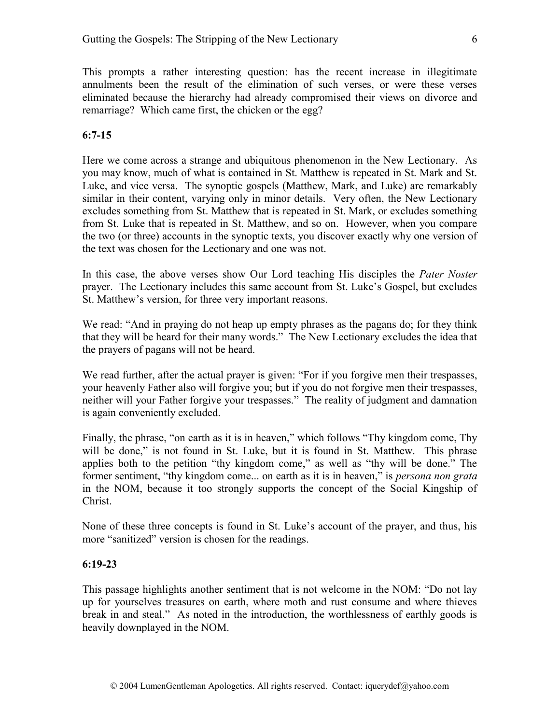This prompts a rather interesting question: has the recent increase in illegitimate annulments been the result of the elimination of such verses, or were these verses eliminated because the hierarchy had already compromised their views on divorce and remarriage? Which came first, the chicken or the egg?

#### **6:7-15**

Here we come across a strange and ubiquitous phenomenon in the New Lectionary. As you may know, much of what is contained in St. Matthew is repeated in St. Mark and St. Luke, and vice versa. The synoptic gospels (Matthew, Mark, and Luke) are remarkably similar in their content, varying only in minor details. Very often, the New Lectionary excludes something from St. Matthew that is repeated in St. Mark, or excludes something from St. Luke that is repeated in St. Matthew, and so on. However, when you compare the two (or three) accounts in the synoptic texts, you discover exactly why one version of the text was chosen for the Lectionary and one was not.

In this case, the above verses show Our Lord teaching His disciples the *Pater Noster*  prayer. The Lectionary includes this same account from St. Luke's Gospel, but excludes St. Matthew's version, for three very important reasons.

We read: "And in praying do not heap up empty phrases as the pagans do; for they think that they will be heard for their many words." The New Lectionary excludes the idea that the prayers of pagans will not be heard.

We read further, after the actual prayer is given: "For if you forgive men their trespasses, your heavenly Father also will forgive you; but if you do not forgive men their trespasses, neither will your Father forgive your trespasses." The reality of judgment and damnation is again conveniently excluded.

Finally, the phrase, "on earth as it is in heaven," which follows "Thy kingdom come, Thy will be done," is not found in St. Luke, but it is found in St. Matthew. This phrase applies both to the petition "thy kingdom come," as well as "thy will be done." The former sentiment, "thy kingdom come... on earth as it is in heaven," is *persona non grata*  in the NOM, because it too strongly supports the concept of the Social Kingship of Christ.

None of these three concepts is found in St. Luke's account of the prayer, and thus, his more "sanitized" version is chosen for the readings.

#### **6:19-23**

This passage highlights another sentiment that is not welcome in the NOM: "Do not lay up for yourselves treasures on earth, where moth and rust consume and where thieves break in and steal." As noted in the introduction, the worthlessness of earthly goods is heavily downplayed in the NOM.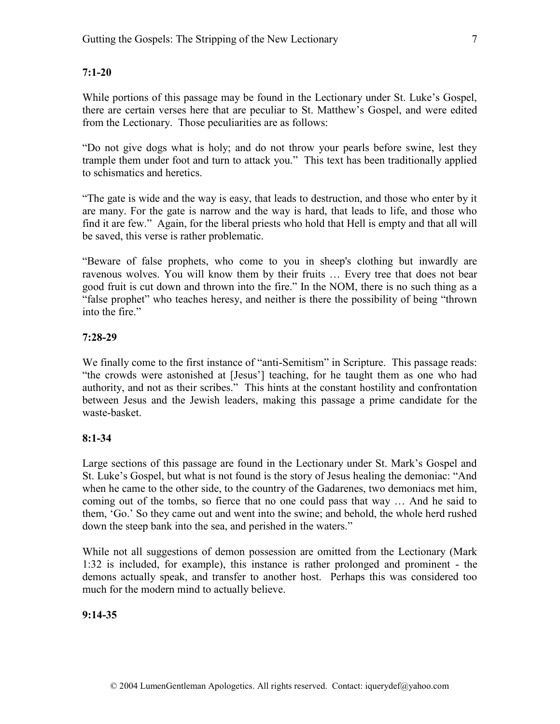While portions of this passage may be found in the Lectionary under St. Luke's Gospel, there are certain verses here that are peculiar to St. Matthew's Gospel, and were edited from the Lectionary. Those peculiarities are as follows:

"Do not give dogs what is holy; and do not throw your pearls before swine, lest they trample them under foot and turn to attack you." This text has been traditionally applied to schismatics and heretics.

"The gate is wide and the way is easy, that leads to destruction, and those who enter by it are many. For the gate is narrow and the way is hard, that leads to life, and those who find it are few." Again, for the liberal priests who hold that Hell is empty and that all will be saved, this verse is rather problematic.

"Beware of false prophets, who come to you in sheep's clothing but inwardly are ravenous wolves. You will know them by their fruits … Every tree that does not bear good fruit is cut down and thrown into the fire." In the NOM, there is no such thing as a "false prophet" who teaches heresy, and neither is there the possibility of being "thrown into the fire."

# **7:28-29**

We finally come to the first instance of "anti-Semitism" in Scripture. This passage reads: "the crowds were astonished at [Jesus'] teaching, for he taught them as one who had authority, and not as their scribes." This hints at the constant hostility and confrontation between Jesus and the Jewish leaders, making this passage a prime candidate for the waste-basket.

# **8:1-34**

Large sections of this passage are found in the Lectionary under St. Mark's Gospel and St. Luke's Gospel, but what is not found is the story of Jesus healing the demoniac: "And when he came to the other side, to the country of the Gadarenes, two demoniacs met him, coming out of the tombs, so fierce that no one could pass that way … And he said to them, 'Go.' So they came out and went into the swine; and behold, the whole herd rushed down the steep bank into the sea, and perished in the waters."

While not all suggestions of demon possession are omitted from the Lectionary (Mark 1:32 is included, for example), this instance is rather prolonged and prominent - the demons actually speak, and transfer to another host. Perhaps this was considered too much for the modern mind to actually believe.

# **9:14-35**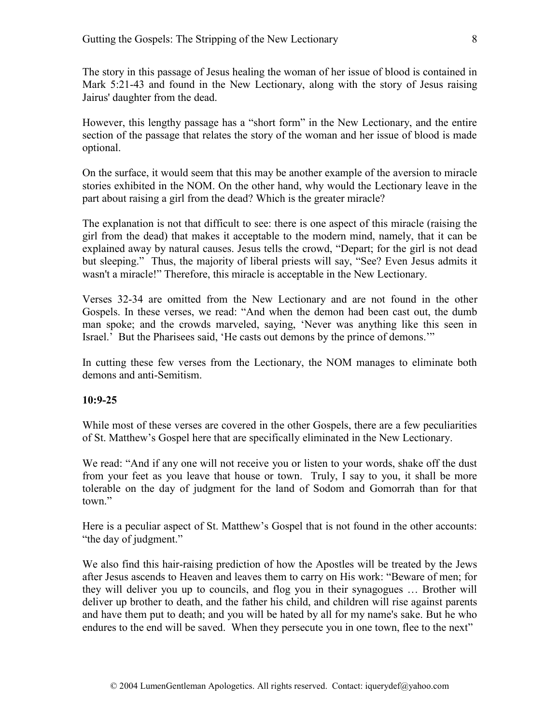The story in this passage of Jesus healing the woman of her issue of blood is contained in Mark 5:21-43 and found in the New Lectionary, along with the story of Jesus raising Jairus' daughter from the dead.

However, this lengthy passage has a "short form" in the New Lectionary, and the entire section of the passage that relates the story of the woman and her issue of blood is made optional.

On the surface, it would seem that this may be another example of the aversion to miracle stories exhibited in the NOM. On the other hand, why would the Lectionary leave in the part about raising a girl from the dead? Which is the greater miracle?

The explanation is not that difficult to see: there is one aspect of this miracle (raising the girl from the dead) that makes it acceptable to the modern mind, namely, that it can be explained away by natural causes. Jesus tells the crowd, "Depart; for the girl is not dead but sleeping." Thus, the majority of liberal priests will say, "See? Even Jesus admits it wasn't a miracle!" Therefore, this miracle is acceptable in the New Lectionary.

Verses 32-34 are omitted from the New Lectionary and are not found in the other Gospels. In these verses, we read: "And when the demon had been cast out, the dumb man spoke; and the crowds marveled, saying, 'Never was anything like this seen in Israel.' But the Pharisees said, 'He casts out demons by the prince of demons.'"

In cutting these few verses from the Lectionary, the NOM manages to eliminate both demons and anti-Semitism.

#### **10:9-25**

While most of these verses are covered in the other Gospels, there are a few peculiarities of St. Matthew's Gospel here that are specifically eliminated in the New Lectionary.

We read: "And if any one will not receive you or listen to your words, shake off the dust from your feet as you leave that house or town. Truly, I say to you, it shall be more tolerable on the day of judgment for the land of Sodom and Gomorrah than for that town."

Here is a peculiar aspect of St. Matthew's Gospel that is not found in the other accounts: "the day of judgment."

We also find this hair-raising prediction of how the Apostles will be treated by the Jews after Jesus ascends to Heaven and leaves them to carry on His work: "Beware of men; for they will deliver you up to councils, and flog you in their synagogues … Brother will deliver up brother to death, and the father his child, and children will rise against parents and have them put to death; and you will be hated by all for my name's sake. But he who endures to the end will be saved. When they persecute you in one town, flee to the next"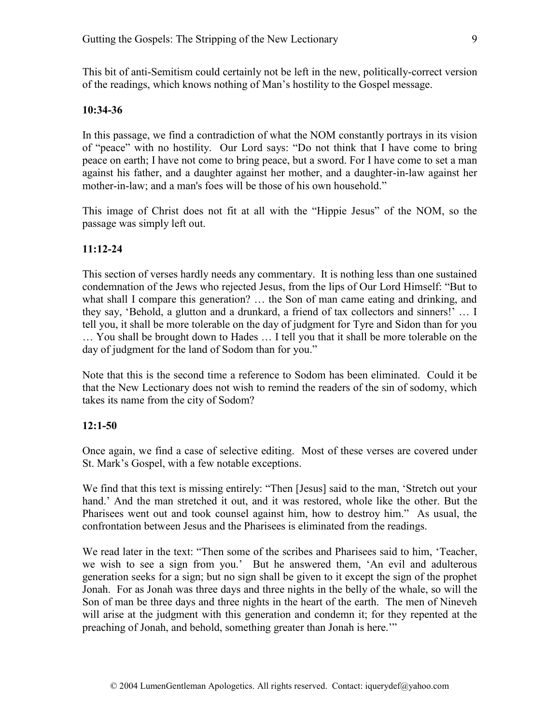This bit of anti-Semitism could certainly not be left in the new, politically-correct version of the readings, which knows nothing of Man's hostility to the Gospel message.

#### **10:34-36**

In this passage, we find a contradiction of what the NOM constantly portrays in its vision of "peace" with no hostility. Our Lord says: "Do not think that I have come to bring peace on earth; I have not come to bring peace, but a sword. For I have come to set a man against his father, and a daughter against her mother, and a daughter-in-law against her mother-in-law; and a man's foes will be those of his own household."

This image of Christ does not fit at all with the "Hippie Jesus" of the NOM, so the passage was simply left out.

#### **11:12-24**

This section of verses hardly needs any commentary. It is nothing less than one sustained condemnation of the Jews who rejected Jesus, from the lips of Our Lord Himself: "But to what shall I compare this generation? ... the Son of man came eating and drinking, and they say, 'Behold, a glutton and a drunkard, a friend of tax collectors and sinners!' … I tell you, it shall be more tolerable on the day of judgment for Tyre and Sidon than for you … You shall be brought down to Hades … I tell you that it shall be more tolerable on the day of judgment for the land of Sodom than for you."

Note that this is the second time a reference to Sodom has been eliminated. Could it be that the New Lectionary does not wish to remind the readers of the sin of sodomy, which takes its name from the city of Sodom?

#### **12:1-50**

Once again, we find a case of selective editing. Most of these verses are covered under St. Mark's Gospel, with a few notable exceptions.

We find that this text is missing entirely: "Then [Jesus] said to the man, 'Stretch out your hand.' And the man stretched it out, and it was restored, whole like the other. But the Pharisees went out and took counsel against him, how to destroy him." As usual, the confrontation between Jesus and the Pharisees is eliminated from the readings.

We read later in the text: "Then some of the scribes and Pharisees said to him, 'Teacher, we wish to see a sign from you.' But he answered them, 'An evil and adulterous generation seeks for a sign; but no sign shall be given to it except the sign of the prophet Jonah. For as Jonah was three days and three nights in the belly of the whale, so will the Son of man be three days and three nights in the heart of the earth. The men of Nineveh will arise at the judgment with this generation and condemn it; for they repented at the preaching of Jonah, and behold, something greater than Jonah is here.'"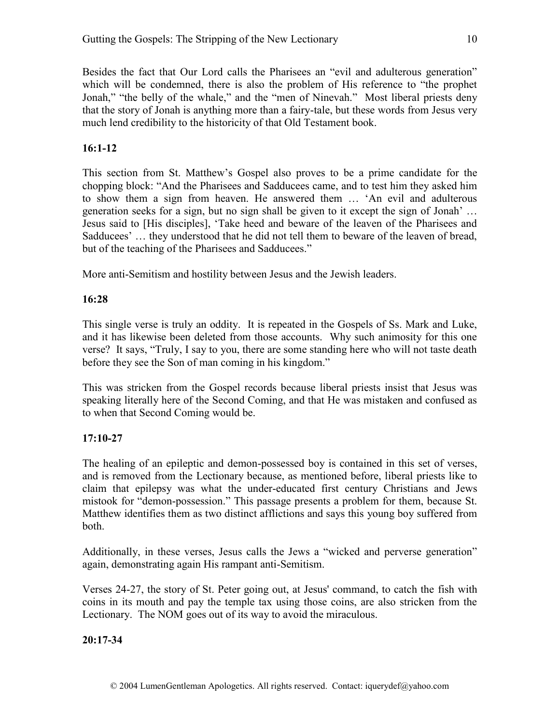Besides the fact that Our Lord calls the Pharisees an "evil and adulterous generation" which will be condemned, there is also the problem of His reference to "the prophet Jonah," "the belly of the whale," and the "men of Ninevah." Most liberal priests deny that the story of Jonah is anything more than a fairy-tale, but these words from Jesus very much lend credibility to the historicity of that Old Testament book.

# **16:1-12**

This section from St. Matthew's Gospel also proves to be a prime candidate for the chopping block: "And the Pharisees and Sadducees came, and to test him they asked him to show them a sign from heaven. He answered them … 'An evil and adulterous generation seeks for a sign, but no sign shall be given to it except the sign of Jonah' … Jesus said to [His disciples], 'Take heed and beware of the leaven of the Pharisees and Sadducees' … they understood that he did not tell them to beware of the leaven of bread, but of the teaching of the Pharisees and Sadducees."

More anti-Semitism and hostility between Jesus and the Jewish leaders.

# **16:28**

This single verse is truly an oddity. It is repeated in the Gospels of Ss. Mark and Luke, and it has likewise been deleted from those accounts. Why such animosity for this one verse? It says, "Truly, I say to you, there are some standing here who will not taste death before they see the Son of man coming in his kingdom."

This was stricken from the Gospel records because liberal priests insist that Jesus was speaking literally here of the Second Coming, and that He was mistaken and confused as to when that Second Coming would be.

# **17:10-27**

The healing of an epileptic and demon-possessed boy is contained in this set of verses, and is removed from the Lectionary because, as mentioned before, liberal priests like to claim that epilepsy was what the under-educated first century Christians and Jews mistook for "demon-possession." This passage presents a problem for them, because St. Matthew identifies them as two distinct afflictions and says this young boy suffered from both.

Additionally, in these verses, Jesus calls the Jews a "wicked and perverse generation" again, demonstrating again His rampant anti-Semitism.

Verses 24-27, the story of St. Peter going out, at Jesus' command, to catch the fish with coins in its mouth and pay the temple tax using those coins, are also stricken from the Lectionary. The NOM goes out of its way to avoid the miraculous.

**20:17-34**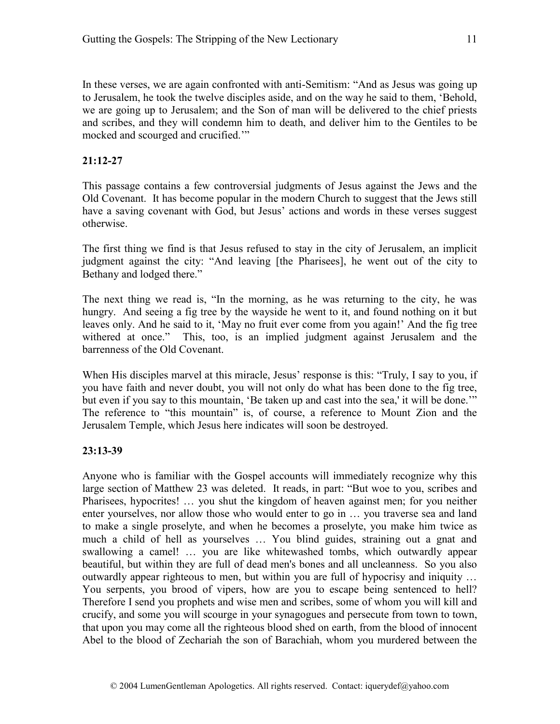In these verses, we are again confronted with anti-Semitism: "And as Jesus was going up to Jerusalem, he took the twelve disciples aside, and on the way he said to them, 'Behold, we are going up to Jerusalem; and the Son of man will be delivered to the chief priests and scribes, and they will condemn him to death, and deliver him to the Gentiles to be mocked and scourged and crucified.'"

# **21:12-27**

This passage contains a few controversial judgments of Jesus against the Jews and the Old Covenant. It has become popular in the modern Church to suggest that the Jews still have a saving covenant with God, but Jesus' actions and words in these verses suggest otherwise.

The first thing we find is that Jesus refused to stay in the city of Jerusalem, an implicit judgment against the city: "And leaving [the Pharisees], he went out of the city to Bethany and lodged there."

The next thing we read is, "In the morning, as he was returning to the city, he was hungry. And seeing a fig tree by the wayside he went to it, and found nothing on it but leaves only. And he said to it, 'May no fruit ever come from you again!' And the fig tree withered at once." This, too, is an implied judgment against Jerusalem and the barrenness of the Old Covenant.

When His disciples marvel at this miracle, Jesus' response is this: "Truly, I say to you, if you have faith and never doubt, you will not only do what has been done to the fig tree, but even if you say to this mountain, 'Be taken up and cast into the sea,' it will be done.'" The reference to "this mountain" is, of course, a reference to Mount Zion and the Jerusalem Temple, which Jesus here indicates will soon be destroyed.

#### **23:13-39**

Anyone who is familiar with the Gospel accounts will immediately recognize why this large section of Matthew 23 was deleted. It reads, in part: "But woe to you, scribes and Pharisees, hypocrites! … you shut the kingdom of heaven against men; for you neither enter yourselves, nor allow those who would enter to go in … you traverse sea and land to make a single proselyte, and when he becomes a proselyte, you make him twice as much a child of hell as yourselves … You blind guides, straining out a gnat and swallowing a camel! … you are like whitewashed tombs, which outwardly appear beautiful, but within they are full of dead men's bones and all uncleanness. So you also outwardly appear righteous to men, but within you are full of hypocrisy and iniquity … You serpents, you brood of vipers, how are you to escape being sentenced to hell? Therefore I send you prophets and wise men and scribes, some of whom you will kill and crucify, and some you will scourge in your synagogues and persecute from town to town, that upon you may come all the righteous blood shed on earth, from the blood of innocent Abel to the blood of Zechariah the son of Barachiah, whom you murdered between the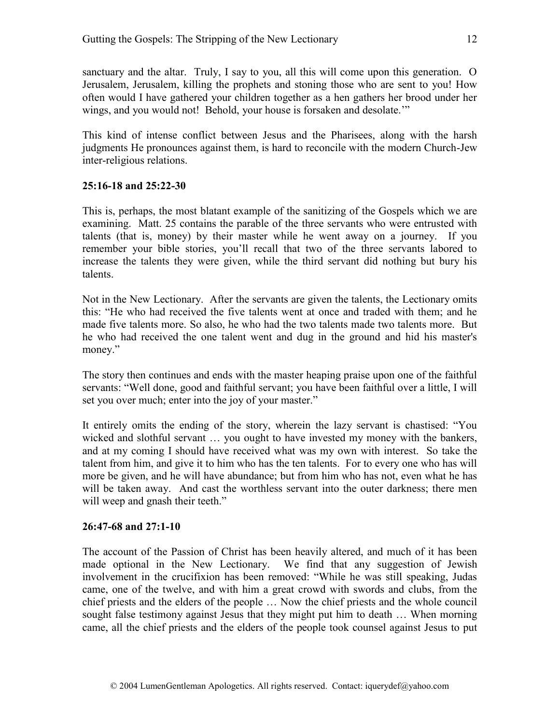sanctuary and the altar. Truly, I say to you, all this will come upon this generation. O Jerusalem, Jerusalem, killing the prophets and stoning those who are sent to you! How often would I have gathered your children together as a hen gathers her brood under her wings, and you would not! Behold, your house is forsaken and desolate."

This kind of intense conflict between Jesus and the Pharisees, along with the harsh judgments He pronounces against them, is hard to reconcile with the modern Church-Jew inter-religious relations.

# **25:16-18 and 25:22-30**

This is, perhaps, the most blatant example of the sanitizing of the Gospels which we are examining. Matt. 25 contains the parable of the three servants who were entrusted with talents (that is, money) by their master while he went away on a journey. If you remember your bible stories, you'll recall that two of the three servants labored to increase the talents they were given, while the third servant did nothing but bury his talents.

Not in the New Lectionary. After the servants are given the talents, the Lectionary omits this: "He who had received the five talents went at once and traded with them; and he made five talents more. So also, he who had the two talents made two talents more. But he who had received the one talent went and dug in the ground and hid his master's money."

The story then continues and ends with the master heaping praise upon one of the faithful servants: "Well done, good and faithful servant; you have been faithful over a little, I will set you over much; enter into the joy of your master."

It entirely omits the ending of the story, wherein the lazy servant is chastised: "You wicked and slothful servant … you ought to have invested my money with the bankers, and at my coming I should have received what was my own with interest. So take the talent from him, and give it to him who has the ten talents. For to every one who has will more be given, and he will have abundance; but from him who has not, even what he has will be taken away. And cast the worthless servant into the outer darkness; there men will weep and gnash their teeth."

# **26:47-68 and 27:1-10**

The account of the Passion of Christ has been heavily altered, and much of it has been made optional in the New Lectionary. We find that any suggestion of Jewish involvement in the crucifixion has been removed: "While he was still speaking, Judas came, one of the twelve, and with him a great crowd with swords and clubs, from the chief priests and the elders of the people … Now the chief priests and the whole council sought false testimony against Jesus that they might put him to death … When morning came, all the chief priests and the elders of the people took counsel against Jesus to put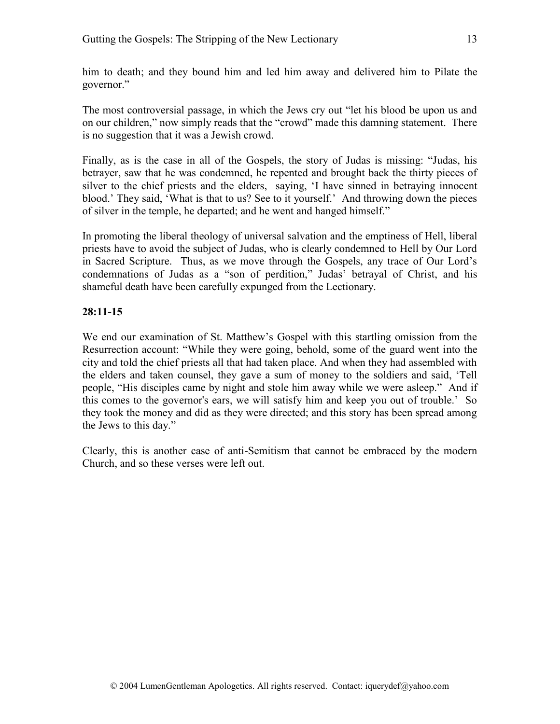him to death; and they bound him and led him away and delivered him to Pilate the governor."

The most controversial passage, in which the Jews cry out "let his blood be upon us and on our children," now simply reads that the "crowd" made this damning statement. There is no suggestion that it was a Jewish crowd.

Finally, as is the case in all of the Gospels, the story of Judas is missing: "Judas, his betrayer, saw that he was condemned, he repented and brought back the thirty pieces of silver to the chief priests and the elders, saying, 'I have sinned in betraying innocent blood.' They said, 'What is that to us? See to it yourself.' And throwing down the pieces of silver in the temple, he departed; and he went and hanged himself."

In promoting the liberal theology of universal salvation and the emptiness of Hell, liberal priests have to avoid the subject of Judas, who is clearly condemned to Hell by Our Lord in Sacred Scripture. Thus, as we move through the Gospels, any trace of Our Lord's condemnations of Judas as a "son of perdition," Judas' betrayal of Christ, and his shameful death have been carefully expunged from the Lectionary.

# **28:11-15**

We end our examination of St. Matthew's Gospel with this startling omission from the Resurrection account: "While they were going, behold, some of the guard went into the city and told the chief priests all that had taken place. And when they had assembled with the elders and taken counsel, they gave a sum of money to the soldiers and said, 'Tell people, "His disciples came by night and stole him away while we were asleep." And if this comes to the governor's ears, we will satisfy him and keep you out of trouble.' So they took the money and did as they were directed; and this story has been spread among the Jews to this day."

Clearly, this is another case of anti-Semitism that cannot be embraced by the modern Church, and so these verses were left out.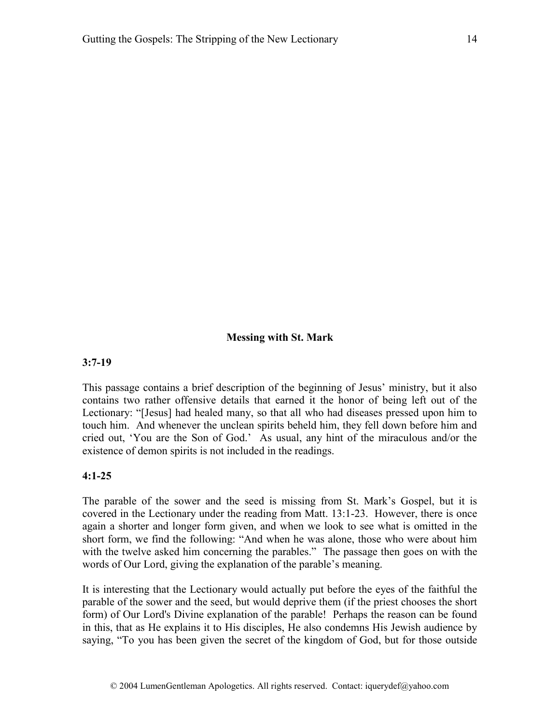#### **Messing with St. Mark**

#### **3:7-19**

This passage contains a brief description of the beginning of Jesus' ministry, but it also contains two rather offensive details that earned it the honor of being left out of the Lectionary: "[Jesus] had healed many, so that all who had diseases pressed upon him to touch him. And whenever the unclean spirits beheld him, they fell down before him and cried out, 'You are the Son of God.' As usual, any hint of the miraculous and/or the existence of demon spirits is not included in the readings.

#### **4:1-25**

The parable of the sower and the seed is missing from St. Mark's Gospel, but it is covered in the Lectionary under the reading from Matt. 13:1-23. However, there is once again a shorter and longer form given, and when we look to see what is omitted in the short form, we find the following: "And when he was alone, those who were about him with the twelve asked him concerning the parables." The passage then goes on with the words of Our Lord, giving the explanation of the parable's meaning.

It is interesting that the Lectionary would actually put before the eyes of the faithful the parable of the sower and the seed, but would deprive them (if the priest chooses the short form) of Our Lord's Divine explanation of the parable! Perhaps the reason can be found in this, that as He explains it to His disciples, He also condemns His Jewish audience by saying, "To you has been given the secret of the kingdom of God, but for those outside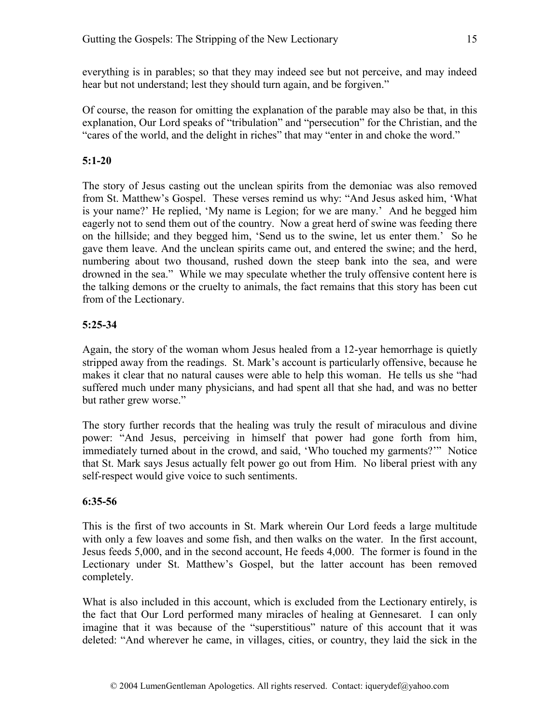everything is in parables; so that they may indeed see but not perceive, and may indeed hear but not understand; lest they should turn again, and be forgiven."

Of course, the reason for omitting the explanation of the parable may also be that, in this explanation, Our Lord speaks of "tribulation" and "persecution" for the Christian, and the "cares of the world, and the delight in riches" that may "enter in and choke the word."

# **5:1-20**

The story of Jesus casting out the unclean spirits from the demoniac was also removed from St. Matthew's Gospel. These verses remind us why: "And Jesus asked him, 'What is your name?' He replied, 'My name is Legion; for we are many.' And he begged him eagerly not to send them out of the country. Now a great herd of swine was feeding there on the hillside; and they begged him, 'Send us to the swine, let us enter them.' So he gave them leave. And the unclean spirits came out, and entered the swine; and the herd, numbering about two thousand, rushed down the steep bank into the sea, and were drowned in the sea." While we may speculate whether the truly offensive content here is the talking demons or the cruelty to animals, the fact remains that this story has been cut from of the Lectionary.

# **5:25-34**

Again, the story of the woman whom Jesus healed from a 12-year hemorrhage is quietly stripped away from the readings. St. Mark's account is particularly offensive, because he makes it clear that no natural causes were able to help this woman. He tells us she "had suffered much under many physicians, and had spent all that she had, and was no better but rather grew worse."

The story further records that the healing was truly the result of miraculous and divine power: "And Jesus, perceiving in himself that power had gone forth from him, immediately turned about in the crowd, and said, 'Who touched my garments?'" Notice that St. Mark says Jesus actually felt power go out from Him. No liberal priest with any self-respect would give voice to such sentiments.

# **6:35-56**

This is the first of two accounts in St. Mark wherein Our Lord feeds a large multitude with only a few loaves and some fish, and then walks on the water. In the first account, Jesus feeds 5,000, and in the second account, He feeds 4,000. The former is found in the Lectionary under St. Matthew's Gospel, but the latter account has been removed completely.

What is also included in this account, which is excluded from the Lectionary entirely, is the fact that Our Lord performed many miracles of healing at Gennesaret. I can only imagine that it was because of the "superstitious" nature of this account that it was deleted: "And wherever he came, in villages, cities, or country, they laid the sick in the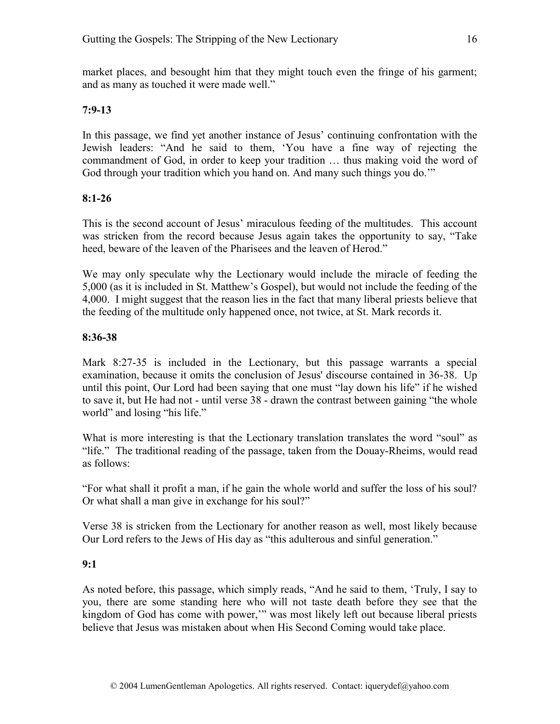market places, and besought him that they might touch even the fringe of his garment; and as many as touched it were made well."

#### **7:9-13**

In this passage, we find yet another instance of Jesus' continuing confrontation with the Jewish leaders: "And he said to them, 'You have a fine way of rejecting the commandment of God, in order to keep your tradition … thus making void the word of God through your tradition which you hand on. And many such things you do.'"

#### **8:1-26**

This is the second account of Jesus' miraculous feeding of the multitudes. This account was stricken from the record because Jesus again takes the opportunity to say, "Take heed, beware of the leaven of the Pharisees and the leaven of Herod."

We may only speculate why the Lectionary would include the miracle of feeding the 5,000 (as it is included in St. Matthew's Gospel), but would not include the feeding of the 4,000. I might suggest that the reason lies in the fact that many liberal priests believe that the feeding of the multitude only happened once, not twice, at St. Mark records it.

#### **8:36-38**

Mark 8:27-35 is included in the Lectionary, but this passage warrants a special examination, because it omits the conclusion of Jesus' discourse contained in 36-38. Up until this point, Our Lord had been saying that one must "lay down his life" if he wished to save it, but He had not - until verse 38 - drawn the contrast between gaining "the whole world" and losing "his life."

What is more interesting is that the Lectionary translation translates the word "soul" as "life." The traditional reading of the passage, taken from the Douay-Rheims, would read as follows:

"For what shall it profit a man, if he gain the whole world and suffer the loss of his soul? Or what shall a man give in exchange for his soul?"

Verse 38 is stricken from the Lectionary for another reason as well, most likely because Our Lord refers to the Jews of His day as "this adulterous and sinful generation."

# **9:1**

As noted before, this passage, which simply reads, "And he said to them, 'Truly, I say to you, there are some standing here who will not taste death before they see that the kingdom of God has come with power,'" was most likely left out because liberal priests believe that Jesus was mistaken about when His Second Coming would take place.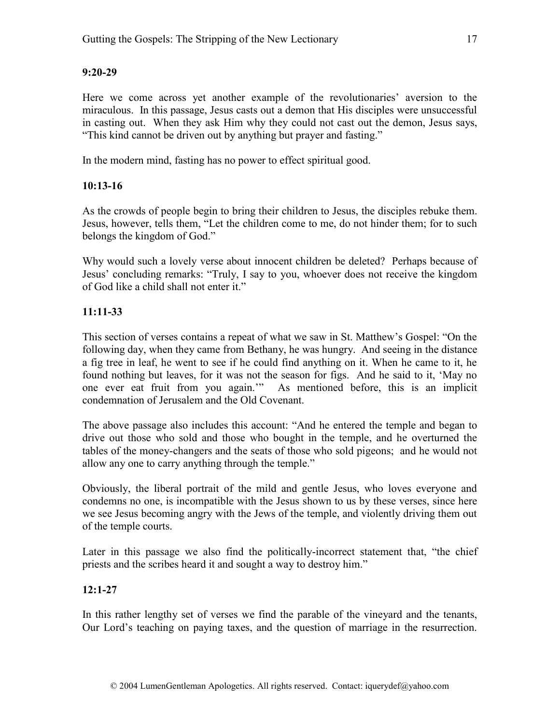# **9:20-29**

Here we come across yet another example of the revolutionaries' aversion to the miraculous. In this passage, Jesus casts out a demon that His disciples were unsuccessful in casting out. When they ask Him why they could not cast out the demon, Jesus says, "This kind cannot be driven out by anything but prayer and fasting."

In the modern mind, fasting has no power to effect spiritual good.

# **10:13-16**

As the crowds of people begin to bring their children to Jesus, the disciples rebuke them. Jesus, however, tells them, "Let the children come to me, do not hinder them; for to such belongs the kingdom of God."

Why would such a lovely verse about innocent children be deleted? Perhaps because of Jesus' concluding remarks: "Truly, I say to you, whoever does not receive the kingdom of God like a child shall not enter it."

# **11:11-33**

This section of verses contains a repeat of what we saw in St. Matthew's Gospel: "On the following day, when they came from Bethany, he was hungry. And seeing in the distance a fig tree in leaf, he went to see if he could find anything on it. When he came to it, he found nothing but leaves, for it was not the season for figs. And he said to it, 'May no one ever eat fruit from you again.'" As mentioned before, this is an implicit condemnation of Jerusalem and the Old Covenant.

The above passage also includes this account: "And he entered the temple and began to drive out those who sold and those who bought in the temple, and he overturned the tables of the money-changers and the seats of those who sold pigeons; and he would not allow any one to carry anything through the temple."

Obviously, the liberal portrait of the mild and gentle Jesus, who loves everyone and condemns no one, is incompatible with the Jesus shown to us by these verses, since here we see Jesus becoming angry with the Jews of the temple, and violently driving them out of the temple courts.

Later in this passage we also find the politically-incorrect statement that, "the chief priests and the scribes heard it and sought a way to destroy him."

# **12:1-27**

In this rather lengthy set of verses we find the parable of the vineyard and the tenants, Our Lord's teaching on paying taxes, and the question of marriage in the resurrection.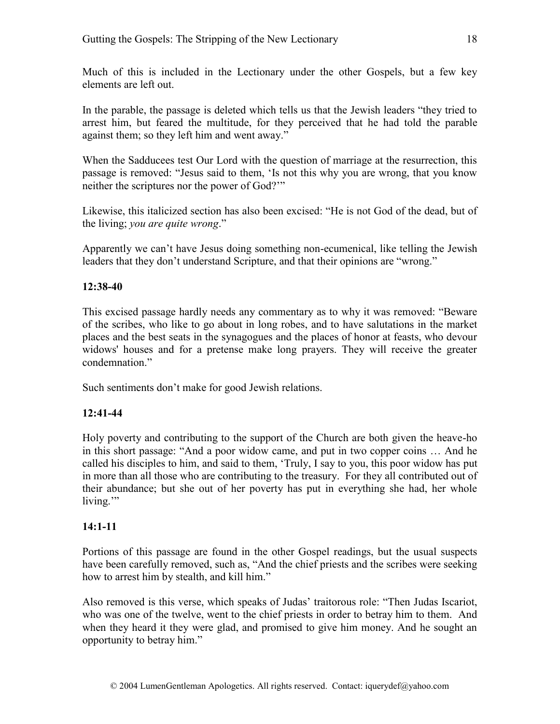Much of this is included in the Lectionary under the other Gospels, but a few key elements are left out.

In the parable, the passage is deleted which tells us that the Jewish leaders "they tried to arrest him, but feared the multitude, for they perceived that he had told the parable against them; so they left him and went away."

When the Sadducees test Our Lord with the question of marriage at the resurrection, this passage is removed: "Jesus said to them, 'Is not this why you are wrong, that you know neither the scriptures nor the power of God?'"

Likewise, this italicized section has also been excised: "He is not God of the dead, but of the living; *you are quite wrong*."

Apparently we can't have Jesus doing something non-ecumenical, like telling the Jewish leaders that they don't understand Scripture, and that their opinions are "wrong."

#### **12:38-40**

This excised passage hardly needs any commentary as to why it was removed: "Beware of the scribes, who like to go about in long robes, and to have salutations in the market places and the best seats in the synagogues and the places of honor at feasts, who devour widows' houses and for a pretense make long prayers. They will receive the greater condemnation."

Such sentiments don't make for good Jewish relations.

# **12:41-44**

Holy poverty and contributing to the support of the Church are both given the heave-ho in this short passage: "And a poor widow came, and put in two copper coins … And he called his disciples to him, and said to them, 'Truly, I say to you, this poor widow has put in more than all those who are contributing to the treasury. For they all contributed out of their abundance; but she out of her poverty has put in everything she had, her whole living."

# **14:1-11**

Portions of this passage are found in the other Gospel readings, but the usual suspects have been carefully removed, such as, "And the chief priests and the scribes were seeking how to arrest him by stealth, and kill him."

Also removed is this verse, which speaks of Judas' traitorous role: "Then Judas Iscariot, who was one of the twelve, went to the chief priests in order to betray him to them. And when they heard it they were glad, and promised to give him money. And he sought an opportunity to betray him."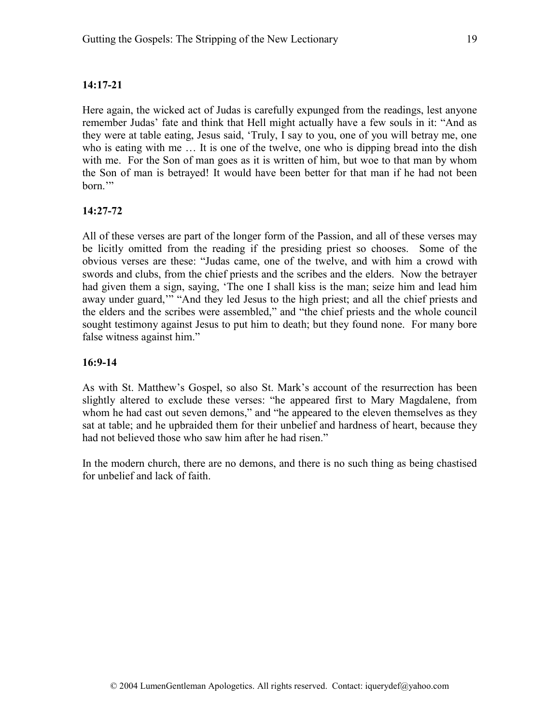# **14:17-21**

Here again, the wicked act of Judas is carefully expunged from the readings, lest anyone remember Judas' fate and think that Hell might actually have a few souls in it: "And as they were at table eating, Jesus said, 'Truly, I say to you, one of you will betray me, one who is eating with me ... It is one of the twelve, one who is dipping bread into the dish with me. For the Son of man goes as it is written of him, but woe to that man by whom the Son of man is betrayed! It would have been better for that man if he had not been born.'"

# **14:27-72**

All of these verses are part of the longer form of the Passion, and all of these verses may be licitly omitted from the reading if the presiding priest so chooses. Some of the obvious verses are these: "Judas came, one of the twelve, and with him a crowd with swords and clubs, from the chief priests and the scribes and the elders. Now the betrayer had given them a sign, saying, 'The one I shall kiss is the man; seize him and lead him away under guard,'" "And they led Jesus to the high priest; and all the chief priests and the elders and the scribes were assembled," and "the chief priests and the whole council sought testimony against Jesus to put him to death; but they found none. For many bore false witness against him."

#### **16:9-14**

As with St. Matthew's Gospel, so also St. Mark's account of the resurrection has been slightly altered to exclude these verses: "he appeared first to Mary Magdalene, from whom he had cast out seven demons," and "he appeared to the eleven themselves as they sat at table; and he upbraided them for their unbelief and hardness of heart, because they had not believed those who saw him after he had risen."

In the modern church, there are no demons, and there is no such thing as being chastised for unbelief and lack of faith.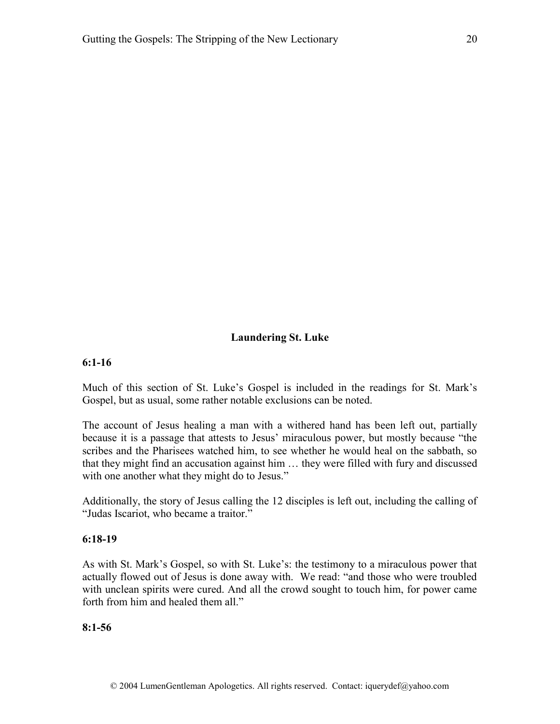#### **Laundering St. Luke**

#### **6:1-16**

Much of this section of St. Luke's Gospel is included in the readings for St. Mark's Gospel, but as usual, some rather notable exclusions can be noted.

The account of Jesus healing a man with a withered hand has been left out, partially because it is a passage that attests to Jesus' miraculous power, but mostly because "the scribes and the Pharisees watched him, to see whether he would heal on the sabbath, so that they might find an accusation against him … they were filled with fury and discussed with one another what they might do to Jesus."

Additionally, the story of Jesus calling the 12 disciples is left out, including the calling of "Judas Iscariot, who became a traitor."

#### **6:18-19**

As with St. Mark's Gospel, so with St. Luke's: the testimony to a miraculous power that actually flowed out of Jesus is done away with. We read: "and those who were troubled with unclean spirits were cured. And all the crowd sought to touch him, for power came forth from him and healed them all."

#### **8:1-56**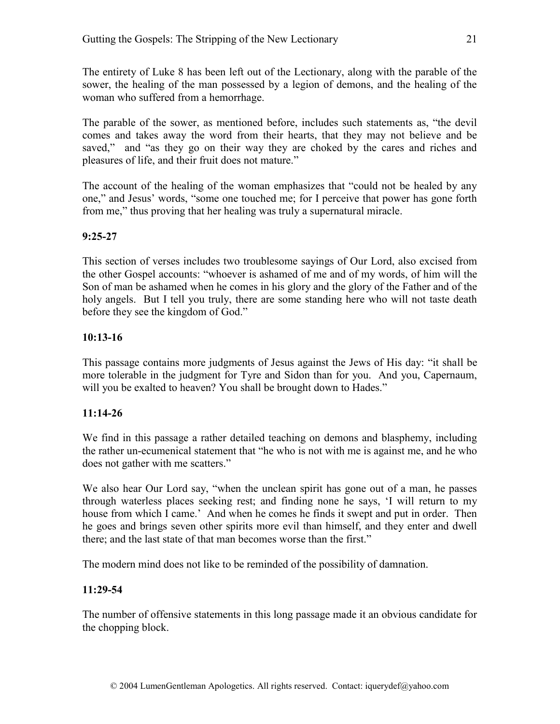The entirety of Luke 8 has been left out of the Lectionary, along with the parable of the sower, the healing of the man possessed by a legion of demons, and the healing of the woman who suffered from a hemorrhage.

The parable of the sower, as mentioned before, includes such statements as, "the devil comes and takes away the word from their hearts, that they may not believe and be saved," and "as they go on their way they are choked by the cares and riches and pleasures of life, and their fruit does not mature."

The account of the healing of the woman emphasizes that "could not be healed by any one," and Jesus' words, "some one touched me; for I perceive that power has gone forth from me," thus proving that her healing was truly a supernatural miracle.

# **9:25-27**

This section of verses includes two troublesome sayings of Our Lord, also excised from the other Gospel accounts: "whoever is ashamed of me and of my words, of him will the Son of man be ashamed when he comes in his glory and the glory of the Father and of the holy angels. But I tell you truly, there are some standing here who will not taste death before they see the kingdom of God."

# **10:13-16**

This passage contains more judgments of Jesus against the Jews of His day: "it shall be more tolerable in the judgment for Tyre and Sidon than for you. And you, Capernaum, will you be exalted to heaven? You shall be brought down to Hades."

# **11:14-26**

We find in this passage a rather detailed teaching on demons and blasphemy, including the rather un-ecumenical statement that "he who is not with me is against me, and he who does not gather with me scatters."

We also hear Our Lord say, "when the unclean spirit has gone out of a man, he passes through waterless places seeking rest; and finding none he says, 'I will return to my house from which I came.' And when he comes he finds it swept and put in order. Then he goes and brings seven other spirits more evil than himself, and they enter and dwell there; and the last state of that man becomes worse than the first."

The modern mind does not like to be reminded of the possibility of damnation.

# **11:29-54**

The number of offensive statements in this long passage made it an obvious candidate for the chopping block.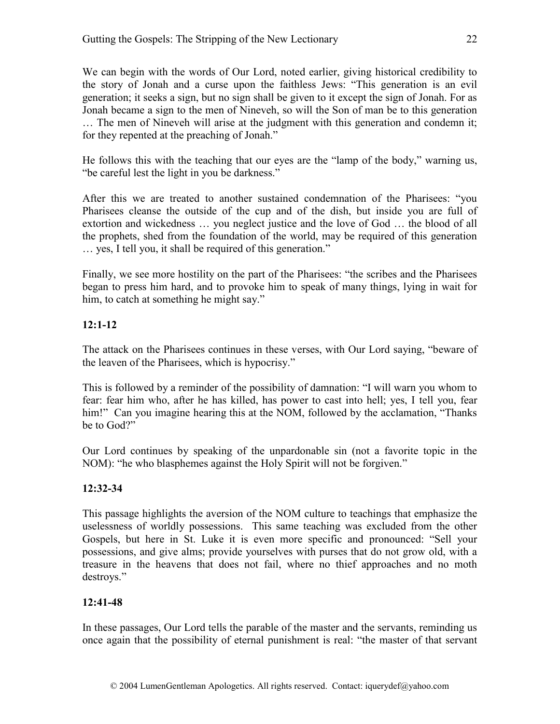We can begin with the words of Our Lord, noted earlier, giving historical credibility to the story of Jonah and a curse upon the faithless Jews: "This generation is an evil generation; it seeks a sign, but no sign shall be given to it except the sign of Jonah. For as Jonah became a sign to the men of Nineveh, so will the Son of man be to this generation … The men of Nineveh will arise at the judgment with this generation and condemn it; for they repented at the preaching of Jonah."

He follows this with the teaching that our eyes are the "lamp of the body," warning us, "be careful lest the light in you be darkness."

After this we are treated to another sustained condemnation of the Pharisees: "you Pharisees cleanse the outside of the cup and of the dish, but inside you are full of extortion and wickedness … you neglect justice and the love of God … the blood of all the prophets, shed from the foundation of the world, may be required of this generation … yes, I tell you, it shall be required of this generation."

Finally, we see more hostility on the part of the Pharisees: "the scribes and the Pharisees began to press him hard, and to provoke him to speak of many things, lying in wait for him, to catch at something he might say."

# **12:1-12**

The attack on the Pharisees continues in these verses, with Our Lord saying, "beware of the leaven of the Pharisees, which is hypocrisy."

This is followed by a reminder of the possibility of damnation: "I will warn you whom to fear: fear him who, after he has killed, has power to cast into hell; yes, I tell you, fear him!" Can you imagine hearing this at the NOM, followed by the acclamation, "Thanks" be to God?"

Our Lord continues by speaking of the unpardonable sin (not a favorite topic in the NOM): "he who blasphemes against the Holy Spirit will not be forgiven."

# **12:32-34**

This passage highlights the aversion of the NOM culture to teachings that emphasize the uselessness of worldly possessions. This same teaching was excluded from the other Gospels, but here in St. Luke it is even more specific and pronounced: "Sell your possessions, and give alms; provide yourselves with purses that do not grow old, with a treasure in the heavens that does not fail, where no thief approaches and no moth destroys."

# **12:41-48**

In these passages, Our Lord tells the parable of the master and the servants, reminding us once again that the possibility of eternal punishment is real: "the master of that servant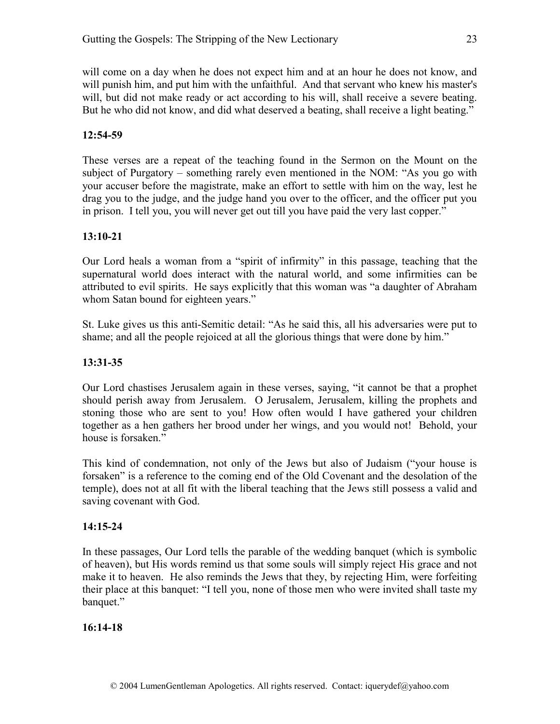will come on a day when he does not expect him and at an hour he does not know, and will punish him, and put him with the unfaithful. And that servant who knew his master's will, but did not make ready or act according to his will, shall receive a severe beating. But he who did not know, and did what deserved a beating, shall receive a light beating."

# **12:54-59**

These verses are a repeat of the teaching found in the Sermon on the Mount on the subject of Purgatory – something rarely even mentioned in the NOM: "As you go with your accuser before the magistrate, make an effort to settle with him on the way, lest he drag you to the judge, and the judge hand you over to the officer, and the officer put you in prison. I tell you, you will never get out till you have paid the very last copper."

# **13:10-21**

Our Lord heals a woman from a "spirit of infirmity" in this passage, teaching that the supernatural world does interact with the natural world, and some infirmities can be attributed to evil spirits. He says explicitly that this woman was "a daughter of Abraham whom Satan bound for eighteen years."

St. Luke gives us this anti-Semitic detail: "As he said this, all his adversaries were put to shame; and all the people rejoiced at all the glorious things that were done by him."

# **13:31-35**

Our Lord chastises Jerusalem again in these verses, saying, "it cannot be that a prophet should perish away from Jerusalem. O Jerusalem, Jerusalem, killing the prophets and stoning those who are sent to you! How often would I have gathered your children together as a hen gathers her brood under her wings, and you would not! Behold, your house is forsaken."

This kind of condemnation, not only of the Jews but also of Judaism ("your house is forsaken" is a reference to the coming end of the Old Covenant and the desolation of the temple), does not at all fit with the liberal teaching that the Jews still possess a valid and saving covenant with God.

# **14:15-24**

In these passages, Our Lord tells the parable of the wedding banquet (which is symbolic of heaven), but His words remind us that some souls will simply reject His grace and not make it to heaven. He also reminds the Jews that they, by rejecting Him, were forfeiting their place at this banquet: "I tell you, none of those men who were invited shall taste my banquet."

# **16:14-18**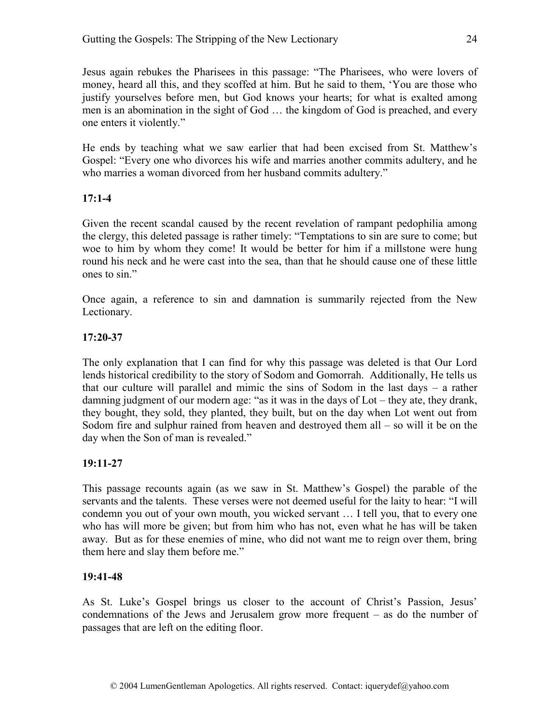Jesus again rebukes the Pharisees in this passage: "The Pharisees, who were lovers of money, heard all this, and they scoffed at him. But he said to them, 'You are those who justify yourselves before men, but God knows your hearts; for what is exalted among men is an abomination in the sight of God … the kingdom of God is preached, and every one enters it violently."

He ends by teaching what we saw earlier that had been excised from St. Matthew's Gospel: "Every one who divorces his wife and marries another commits adultery, and he who marries a woman divorced from her husband commits adultery."

#### **17:1-4**

Given the recent scandal caused by the recent revelation of rampant pedophilia among the clergy, this deleted passage is rather timely: "Temptations to sin are sure to come; but woe to him by whom they come! It would be better for him if a millstone were hung round his neck and he were cast into the sea, than that he should cause one of these little ones to sin."

Once again, a reference to sin and damnation is summarily rejected from the New Lectionary.

#### **17:20-37**

The only explanation that I can find for why this passage was deleted is that Our Lord lends historical credibility to the story of Sodom and Gomorrah. Additionally, He tells us that our culture will parallel and mimic the sins of Sodom in the last days – a rather damning judgment of our modern age: "as it was in the days of Lot – they ate, they drank, they bought, they sold, they planted, they built, but on the day when Lot went out from Sodom fire and sulphur rained from heaven and destroyed them all – so will it be on the day when the Son of man is revealed."

# **19:11-27**

This passage recounts again (as we saw in St. Matthew's Gospel) the parable of the servants and the talents. These verses were not deemed useful for the laity to hear: "I will condemn you out of your own mouth, you wicked servant … I tell you, that to every one who has will more be given; but from him who has not, even what he has will be taken away. But as for these enemies of mine, who did not want me to reign over them, bring them here and slay them before me."

#### **19:41-48**

As St. Luke's Gospel brings us closer to the account of Christ's Passion, Jesus' condemnations of the Jews and Jerusalem grow more frequent – as do the number of passages that are left on the editing floor.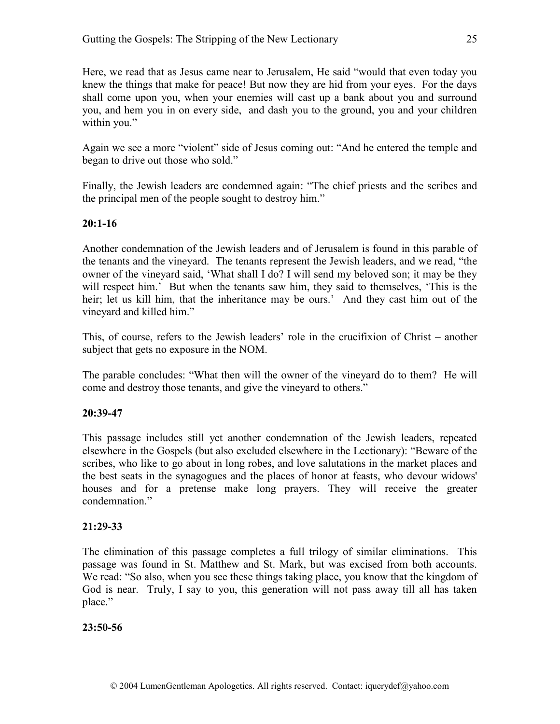Here, we read that as Jesus came near to Jerusalem, He said "would that even today you knew the things that make for peace! But now they are hid from your eyes. For the days shall come upon you, when your enemies will cast up a bank about you and surround you, and hem you in on every side, and dash you to the ground, you and your children within you."

Again we see a more "violent" side of Jesus coming out: "And he entered the temple and began to drive out those who sold."

Finally, the Jewish leaders are condemned again: "The chief priests and the scribes and the principal men of the people sought to destroy him."

#### **20:1-16**

Another condemnation of the Jewish leaders and of Jerusalem is found in this parable of the tenants and the vineyard. The tenants represent the Jewish leaders, and we read, "the owner of the vineyard said, 'What shall I do? I will send my beloved son; it may be they will respect him.' But when the tenants saw him, they said to themselves, 'This is the heir; let us kill him, that the inheritance may be ours.' And they cast him out of the vineyard and killed him."

This, of course, refers to the Jewish leaders' role in the crucifixion of Christ – another subject that gets no exposure in the NOM.

The parable concludes: "What then will the owner of the vineyard do to them? He will come and destroy those tenants, and give the vineyard to others."

#### **20:39-47**

This passage includes still yet another condemnation of the Jewish leaders, repeated elsewhere in the Gospels (but also excluded elsewhere in the Lectionary): "Beware of the scribes, who like to go about in long robes, and love salutations in the market places and the best seats in the synagogues and the places of honor at feasts, who devour widows' houses and for a pretense make long prayers. They will receive the greater condemnation<sup>"</sup>

#### **21:29-33**

The elimination of this passage completes a full trilogy of similar eliminations. This passage was found in St. Matthew and St. Mark, but was excised from both accounts. We read: "So also, when you see these things taking place, you know that the kingdom of God is near. Truly, I say to you, this generation will not pass away till all has taken place."

#### **23:50-56**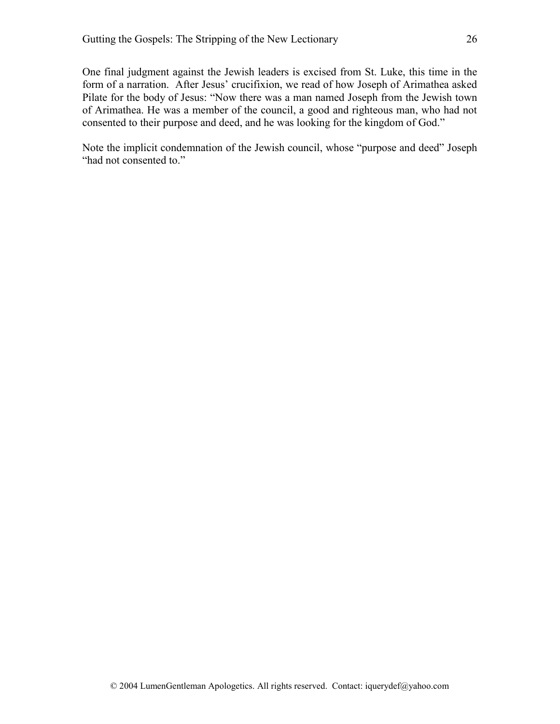One final judgment against the Jewish leaders is excised from St. Luke, this time in the form of a narration. After Jesus' crucifixion, we read of how Joseph of Arimathea asked Pilate for the body of Jesus: "Now there was a man named Joseph from the Jewish town of Arimathea. He was a member of the council, a good and righteous man, who had not consented to their purpose and deed, and he was looking for the kingdom of God."

Note the implicit condemnation of the Jewish council, whose "purpose and deed" Joseph "had not consented to."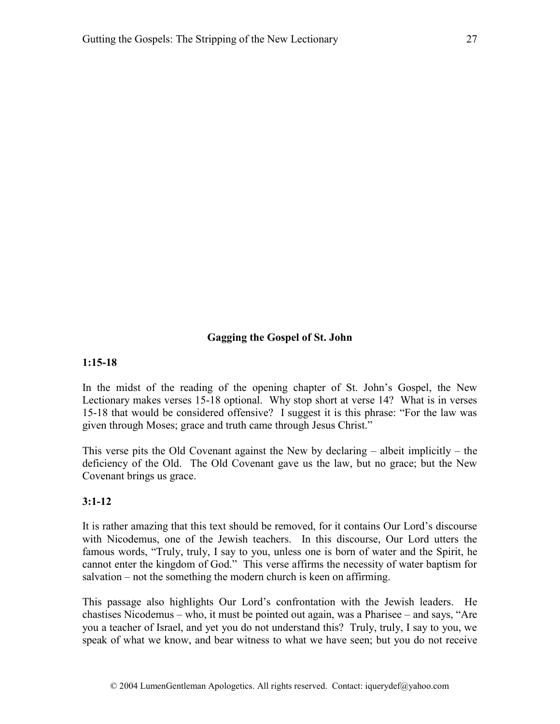#### **Gagging the Gospel of St. John**

#### **1:15-18**

In the midst of the reading of the opening chapter of St. John's Gospel, the New Lectionary makes verses 15-18 optional. Why stop short at verse 14? What is in verses 15-18 that would be considered offensive? I suggest it is this phrase: "For the law was given through Moses; grace and truth came through Jesus Christ."

This verse pits the Old Covenant against the New by declaring  $-$  albeit implicitly  $-$  the deficiency of the Old. The Old Covenant gave us the law, but no grace; but the New Covenant brings us grace.

#### **3:1-12**

It is rather amazing that this text should be removed, for it contains Our Lord's discourse with Nicodemus, one of the Jewish teachers. In this discourse, Our Lord utters the famous words, "Truly, truly, I say to you, unless one is born of water and the Spirit, he cannot enter the kingdom of God." This verse affirms the necessity of water baptism for salvation – not the something the modern church is keen on affirming.

This passage also highlights Our Lord's confrontation with the Jewish leaders. He chastises Nicodemus – who, it must be pointed out again, was a Pharisee – and says, "Are you a teacher of Israel, and yet you do not understand this? Truly, truly, I say to you, we speak of what we know, and bear witness to what we have seen; but you do not receive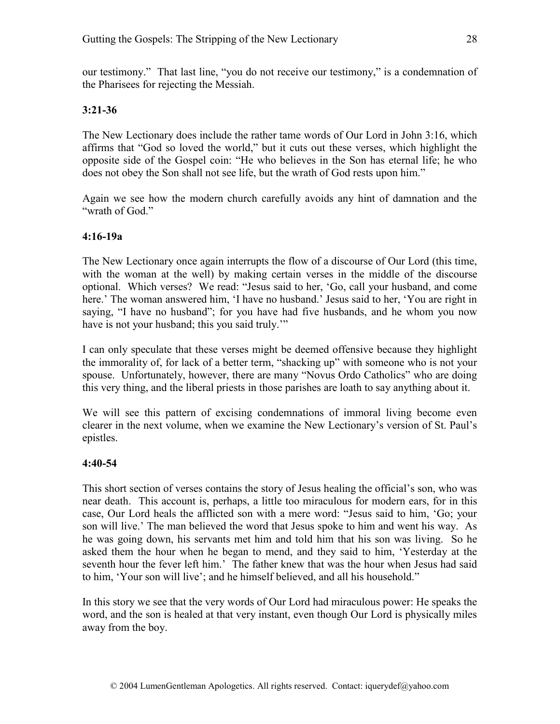our testimony." That last line, "you do not receive our testimony," is a condemnation of the Pharisees for rejecting the Messiah.

# **3:21-36**

The New Lectionary does include the rather tame words of Our Lord in John 3:16, which affirms that "God so loved the world," but it cuts out these verses, which highlight the opposite side of the Gospel coin: "He who believes in the Son has eternal life; he who does not obey the Son shall not see life, but the wrath of God rests upon him."

Again we see how the modern church carefully avoids any hint of damnation and the "wrath of God."

# **4:16-19a**

The New Lectionary once again interrupts the flow of a discourse of Our Lord (this time, with the woman at the well) by making certain verses in the middle of the discourse optional. Which verses? We read: "Jesus said to her, 'Go, call your husband, and come here.' The woman answered him, 'I have no husband.' Jesus said to her, 'You are right in saying, "I have no husband"; for you have had five husbands, and he whom you now have is not your husband; this you said truly."

I can only speculate that these verses might be deemed offensive because they highlight the immorality of, for lack of a better term, "shacking up" with someone who is not your spouse. Unfortunately, however, there are many "Novus Ordo Catholics" who are doing this very thing, and the liberal priests in those parishes are loath to say anything about it.

We will see this pattern of excising condemnations of immoral living become even clearer in the next volume, when we examine the New Lectionary's version of St. Paul's epistles.

# **4:40-54**

This short section of verses contains the story of Jesus healing the official's son, who was near death. This account is, perhaps, a little too miraculous for modern ears, for in this case, Our Lord heals the afflicted son with a mere word: "Jesus said to him, 'Go; your son will live.' The man believed the word that Jesus spoke to him and went his way. As he was going down, his servants met him and told him that his son was living. So he asked them the hour when he began to mend, and they said to him, 'Yesterday at the seventh hour the fever left him.' The father knew that was the hour when Jesus had said to him, 'Your son will live'; and he himself believed, and all his household."

In this story we see that the very words of Our Lord had miraculous power: He speaks the word, and the son is healed at that very instant, even though Our Lord is physically miles away from the boy.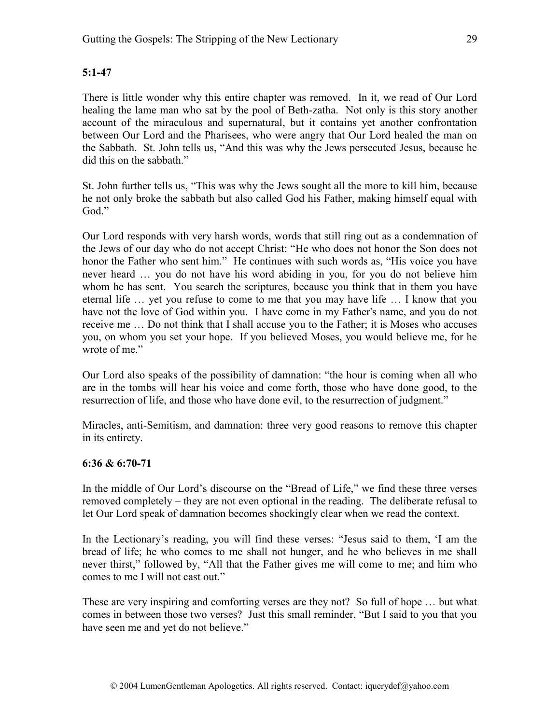# **5:1-47**

There is little wonder why this entire chapter was removed. In it, we read of Our Lord healing the lame man who sat by the pool of Beth-zatha. Not only is this story another account of the miraculous and supernatural, but it contains yet another confrontation between Our Lord and the Pharisees, who were angry that Our Lord healed the man on the Sabbath. St. John tells us, "And this was why the Jews persecuted Jesus, because he did this on the sabbath."

St. John further tells us, "This was why the Jews sought all the more to kill him, because he not only broke the sabbath but also called God his Father, making himself equal with God."

Our Lord responds with very harsh words, words that still ring out as a condemnation of the Jews of our day who do not accept Christ: "He who does not honor the Son does not honor the Father who sent him." He continues with such words as, "His voice you have never heard … you do not have his word abiding in you, for you do not believe him whom he has sent. You search the scriptures, because you think that in them you have eternal life … yet you refuse to come to me that you may have life … I know that you have not the love of God within you. I have come in my Father's name, and you do not receive me … Do not think that I shall accuse you to the Father; it is Moses who accuses you, on whom you set your hope. If you believed Moses, you would believe me, for he wrote of me."

Our Lord also speaks of the possibility of damnation: "the hour is coming when all who are in the tombs will hear his voice and come forth, those who have done good, to the resurrection of life, and those who have done evil, to the resurrection of judgment."

Miracles, anti-Semitism, and damnation: three very good reasons to remove this chapter in its entirety.

#### **6:36 & 6:70-71**

In the middle of Our Lord's discourse on the "Bread of Life," we find these three verses removed completely – they are not even optional in the reading. The deliberate refusal to let Our Lord speak of damnation becomes shockingly clear when we read the context.

In the Lectionary's reading, you will find these verses: "Jesus said to them, 'I am the bread of life; he who comes to me shall not hunger, and he who believes in me shall never thirst," followed by, "All that the Father gives me will come to me; and him who comes to me I will not cast out."

These are very inspiring and comforting verses are they not? So full of hope … but what comes in between those two verses? Just this small reminder, "But I said to you that you have seen me and yet do not believe."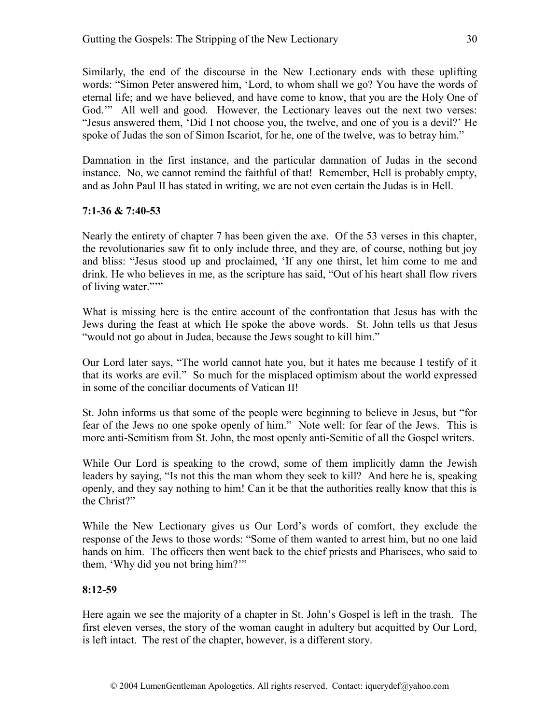Similarly, the end of the discourse in the New Lectionary ends with these uplifting words: "Simon Peter answered him, 'Lord, to whom shall we go? You have the words of eternal life; and we have believed, and have come to know, that you are the Holy One of God."" All well and good. However, the Lectionary leaves out the next two verses: "Jesus answered them, 'Did I not choose you, the twelve, and one of you is a devil?' He spoke of Judas the son of Simon Iscariot, for he, one of the twelve, was to betray him."

Damnation in the first instance, and the particular damnation of Judas in the second instance. No, we cannot remind the faithful of that! Remember, Hell is probably empty, and as John Paul II has stated in writing, we are not even certain the Judas is in Hell.

# **7:1-36 & 7:40-53**

Nearly the entirety of chapter 7 has been given the axe. Of the 53 verses in this chapter, the revolutionaries saw fit to only include three, and they are, of course, nothing but joy and bliss: "Jesus stood up and proclaimed, 'If any one thirst, let him come to me and drink. He who believes in me, as the scripture has said, "Out of his heart shall flow rivers of living water."""

What is missing here is the entire account of the confrontation that Jesus has with the Jews during the feast at which He spoke the above words. St. John tells us that Jesus "would not go about in Judea, because the Jews sought to kill him."

Our Lord later says, "The world cannot hate you, but it hates me because I testify of it that its works are evil." So much for the misplaced optimism about the world expressed in some of the conciliar documents of Vatican II!

St. John informs us that some of the people were beginning to believe in Jesus, but "for fear of the Jews no one spoke openly of him." Note well: for fear of the Jews. This is more anti-Semitism from St. John, the most openly anti-Semitic of all the Gospel writers.

While Our Lord is speaking to the crowd, some of them implicitly damn the Jewish leaders by saying, "Is not this the man whom they seek to kill? And here he is, speaking openly, and they say nothing to him! Can it be that the authorities really know that this is the Christ?"

While the New Lectionary gives us Our Lord's words of comfort, they exclude the response of the Jews to those words: "Some of them wanted to arrest him, but no one laid hands on him. The officers then went back to the chief priests and Pharisees, who said to them, 'Why did you not bring him?'"

# **8:12-59**

Here again we see the majority of a chapter in St. John's Gospel is left in the trash. The first eleven verses, the story of the woman caught in adultery but acquitted by Our Lord, is left intact. The rest of the chapter, however, is a different story.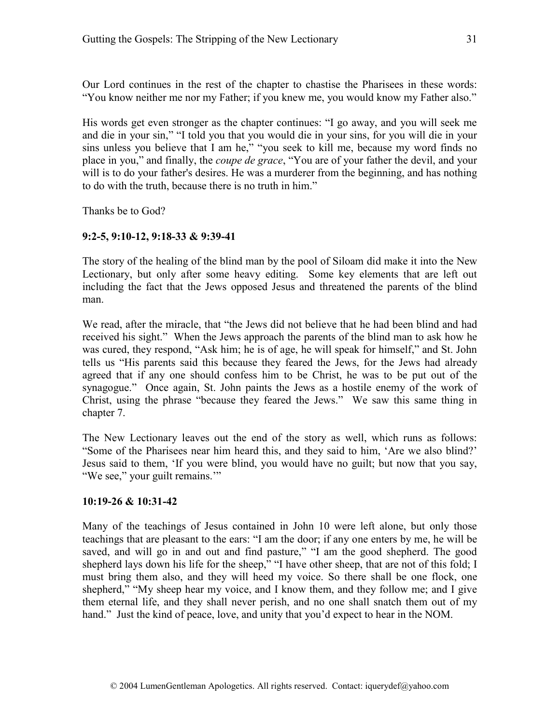Our Lord continues in the rest of the chapter to chastise the Pharisees in these words: "You know neither me nor my Father; if you knew me, you would know my Father also."

His words get even stronger as the chapter continues: "I go away, and you will seek me and die in your sin," "I told you that you would die in your sins, for you will die in your sins unless you believe that I am he," "you seek to kill me, because my word finds no place in you," and finally, the *coupe de grace*, "You are of your father the devil, and your will is to do your father's desires. He was a murderer from the beginning, and has nothing to do with the truth, because there is no truth in him."

Thanks be to God?

# **9:2-5, 9:10-12, 9:18-33 & 9:39-41**

The story of the healing of the blind man by the pool of Siloam did make it into the New Lectionary, but only after some heavy editing. Some key elements that are left out including the fact that the Jews opposed Jesus and threatened the parents of the blind man.

We read, after the miracle, that "the Jews did not believe that he had been blind and had received his sight." When the Jews approach the parents of the blind man to ask how he was cured, they respond, "Ask him; he is of age, he will speak for himself," and St. John tells us "His parents said this because they feared the Jews, for the Jews had already agreed that if any one should confess him to be Christ, he was to be put out of the synagogue." Once again, St. John paints the Jews as a hostile enemy of the work of Christ, using the phrase "because they feared the Jews." We saw this same thing in chapter 7.

The New Lectionary leaves out the end of the story as well, which runs as follows: "Some of the Pharisees near him heard this, and they said to him, 'Are we also blind?' Jesus said to them, 'If you were blind, you would have no guilt; but now that you say, "We see," your guilt remains.'"

# **10:19-26 & 10:31-42**

Many of the teachings of Jesus contained in John 10 were left alone, but only those teachings that are pleasant to the ears: "I am the door; if any one enters by me, he will be saved, and will go in and out and find pasture," "I am the good shepherd. The good shepherd lays down his life for the sheep," "I have other sheep, that are not of this fold; I must bring them also, and they will heed my voice. So there shall be one flock, one shepherd," "My sheep hear my voice, and I know them, and they follow me; and I give them eternal life, and they shall never perish, and no one shall snatch them out of my hand." Just the kind of peace, love, and unity that you'd expect to hear in the NOM.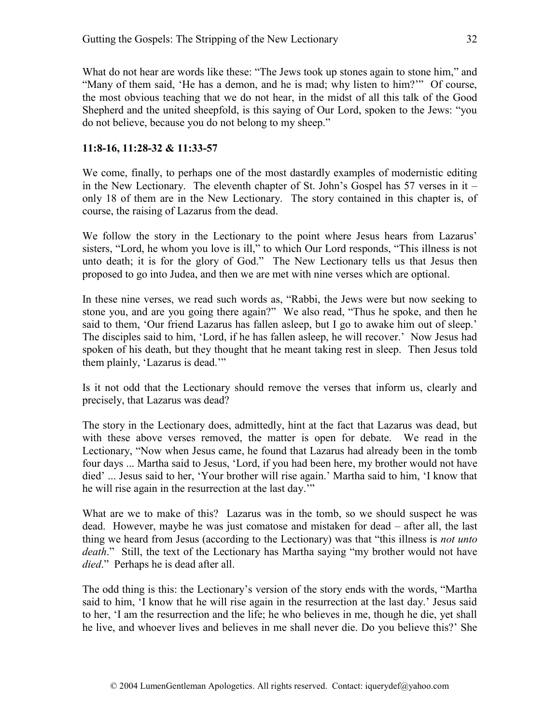What do not hear are words like these: "The Jews took up stones again to stone him," and "Many of them said, 'He has a demon, and he is mad; why listen to him?'" Of course, the most obvious teaching that we do not hear, in the midst of all this talk of the Good Shepherd and the united sheepfold, is this saying of Our Lord, spoken to the Jews: "you do not believe, because you do not belong to my sheep."

# **11:8-16, 11:28-32 & 11:33-57**

We come, finally, to perhaps one of the most dastardly examples of modernistic editing in the New Lectionary. The eleventh chapter of St. John's Gospel has  $57$  verses in it – only 18 of them are in the New Lectionary. The story contained in this chapter is, of course, the raising of Lazarus from the dead.

We follow the story in the Lectionary to the point where Jesus hears from Lazarus' sisters, "Lord, he whom you love is ill," to which Our Lord responds, "This illness is not unto death; it is for the glory of God." The New Lectionary tells us that Jesus then proposed to go into Judea, and then we are met with nine verses which are optional.

In these nine verses, we read such words as, "Rabbi, the Jews were but now seeking to stone you, and are you going there again?" We also read, "Thus he spoke, and then he said to them, 'Our friend Lazarus has fallen asleep, but I go to awake him out of sleep.' The disciples said to him, 'Lord, if he has fallen asleep, he will recover.' Now Jesus had spoken of his death, but they thought that he meant taking rest in sleep. Then Jesus told them plainly, 'Lazarus is dead.'"

Is it not odd that the Lectionary should remove the verses that inform us, clearly and precisely, that Lazarus was dead?

The story in the Lectionary does, admittedly, hint at the fact that Lazarus was dead, but with these above verses removed, the matter is open for debate. We read in the Lectionary, "Now when Jesus came, he found that Lazarus had already been in the tomb four days ... Martha said to Jesus, 'Lord, if you had been here, my brother would not have died' ... Jesus said to her, 'Your brother will rise again.' Martha said to him, 'I know that he will rise again in the resurrection at the last day.'"

What are we to make of this? Lazarus was in the tomb, so we should suspect he was dead. However, maybe he was just comatose and mistaken for dead – after all, the last thing we heard from Jesus (according to the Lectionary) was that "this illness is *not unto death*." Still, the text of the Lectionary has Martha saying "my brother would not have *died*." Perhaps he is dead after all.

The odd thing is this: the Lectionary's version of the story ends with the words, "Martha said to him, 'I know that he will rise again in the resurrection at the last day.' Jesus said to her, 'I am the resurrection and the life; he who believes in me, though he die, yet shall he live, and whoever lives and believes in me shall never die. Do you believe this?' She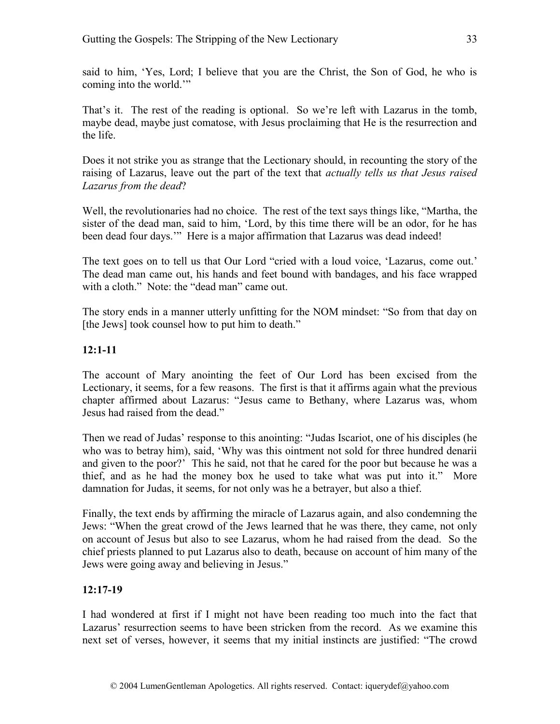said to him, 'Yes, Lord; I believe that you are the Christ, the Son of God, he who is coming into the world.'"

That's it. The rest of the reading is optional. So we're left with Lazarus in the tomb, maybe dead, maybe just comatose, with Jesus proclaiming that He is the resurrection and the life.

Does it not strike you as strange that the Lectionary should, in recounting the story of the raising of Lazarus, leave out the part of the text that *actually tells us that Jesus raised Lazarus from the dead*?

Well, the revolutionaries had no choice. The rest of the text says things like, "Martha, the sister of the dead man, said to him, 'Lord, by this time there will be an odor, for he has been dead four days.'" Here is a major affirmation that Lazarus was dead indeed!

The text goes on to tell us that Our Lord "cried with a loud voice, 'Lazarus, come out.' The dead man came out, his hands and feet bound with bandages, and his face wrapped with a cloth." Note: the "dead man" came out.

The story ends in a manner utterly unfitting for the NOM mindset: "So from that day on [the Jews] took counsel how to put him to death."

# **12:1-11**

The account of Mary anointing the feet of Our Lord has been excised from the Lectionary, it seems, for a few reasons. The first is that it affirms again what the previous chapter affirmed about Lazarus: "Jesus came to Bethany, where Lazarus was, whom Jesus had raised from the dead."

Then we read of Judas' response to this anointing: "Judas Iscariot, one of his disciples (he who was to betray him), said, 'Why was this ointment not sold for three hundred denarii and given to the poor?' This he said, not that he cared for the poor but because he was a thief, and as he had the money box he used to take what was put into it." More damnation for Judas, it seems, for not only was he a betrayer, but also a thief.

Finally, the text ends by affirming the miracle of Lazarus again, and also condemning the Jews: "When the great crowd of the Jews learned that he was there, they came, not only on account of Jesus but also to see Lazarus, whom he had raised from the dead. So the chief priests planned to put Lazarus also to death, because on account of him many of the Jews were going away and believing in Jesus."

# **12:17-19**

I had wondered at first if I might not have been reading too much into the fact that Lazarus' resurrection seems to have been stricken from the record. As we examine this next set of verses, however, it seems that my initial instincts are justified: "The crowd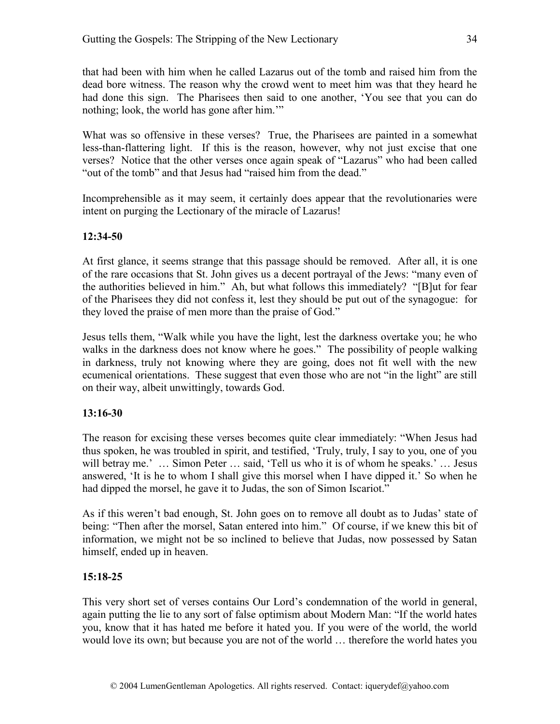that had been with him when he called Lazarus out of the tomb and raised him from the dead bore witness. The reason why the crowd went to meet him was that they heard he had done this sign. The Pharisees then said to one another, 'You see that you can do nothing; look, the world has gone after him.'"

What was so offensive in these verses? True, the Pharisees are painted in a somewhat less-than-flattering light. If this is the reason, however, why not just excise that one verses? Notice that the other verses once again speak of "Lazarus" who had been called "out of the tomb" and that Jesus had "raised him from the dead."

Incomprehensible as it may seem, it certainly does appear that the revolutionaries were intent on purging the Lectionary of the miracle of Lazarus!

# **12:34-50**

At first glance, it seems strange that this passage should be removed. After all, it is one of the rare occasions that St. John gives us a decent portrayal of the Jews: "many even of the authorities believed in him." Ah, but what follows this immediately? "[B]ut for fear of the Pharisees they did not confess it, lest they should be put out of the synagogue: for they loved the praise of men more than the praise of God."

Jesus tells them, "Walk while you have the light, lest the darkness overtake you; he who walks in the darkness does not know where he goes." The possibility of people walking in darkness, truly not knowing where they are going, does not fit well with the new ecumenical orientations. These suggest that even those who are not "in the light" are still on their way, albeit unwittingly, towards God.

# **13:16-30**

The reason for excising these verses becomes quite clear immediately: "When Jesus had thus spoken, he was troubled in spirit, and testified, 'Truly, truly, I say to you, one of you will betray me.' ... Simon Peter ... said, 'Tell us who it is of whom he speaks.' ... Jesus answered, 'It is he to whom I shall give this morsel when I have dipped it.' So when he had dipped the morsel, he gave it to Judas, the son of Simon Iscariot."

As if this weren't bad enough, St. John goes on to remove all doubt as to Judas' state of being: "Then after the morsel, Satan entered into him." Of course, if we knew this bit of information, we might not be so inclined to believe that Judas, now possessed by Satan himself, ended up in heaven.

# **15:18-25**

This very short set of verses contains Our Lord's condemnation of the world in general, again putting the lie to any sort of false optimism about Modern Man: "If the world hates you, know that it has hated me before it hated you. If you were of the world, the world would love its own; but because you are not of the world … therefore the world hates you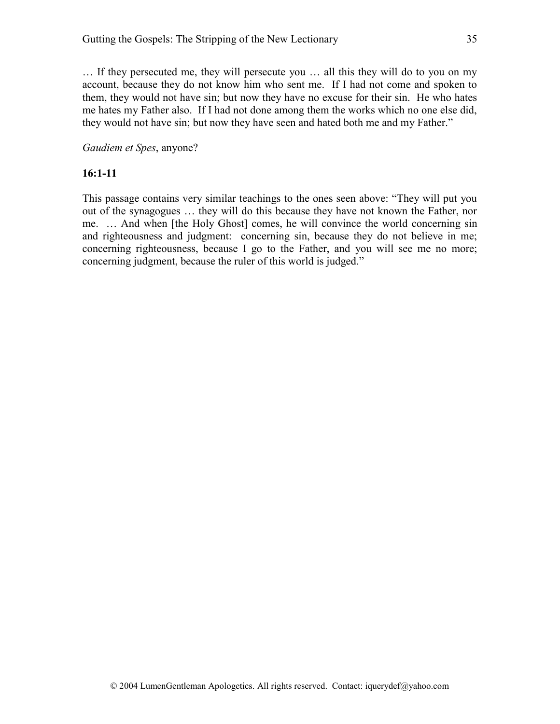… If they persecuted me, they will persecute you … all this they will do to you on my account, because they do not know him who sent me. If I had not come and spoken to them, they would not have sin; but now they have no excuse for their sin. He who hates me hates my Father also. If I had not done among them the works which no one else did, they would not have sin; but now they have seen and hated both me and my Father."

#### *Gaudiem et Spes*, anyone?

#### **16:1-11**

This passage contains very similar teachings to the ones seen above: "They will put you out of the synagogues … they will do this because they have not known the Father, nor me. … And when [the Holy Ghost] comes, he will convince the world concerning sin and righteousness and judgment: concerning sin, because they do not believe in me; concerning righteousness, because I go to the Father, and you will see me no more; concerning judgment, because the ruler of this world is judged."